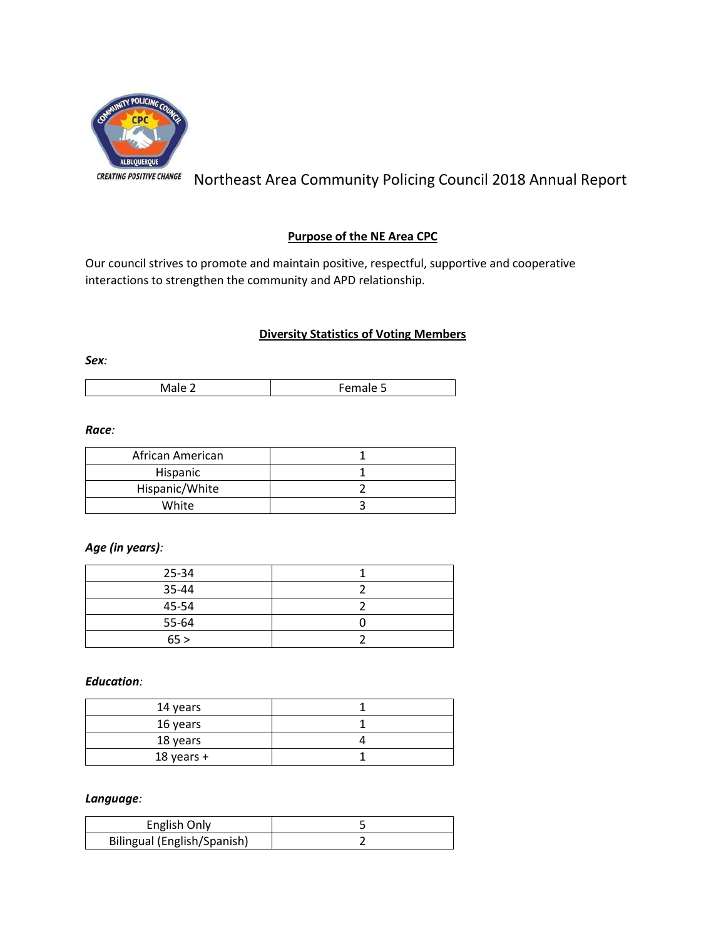

Northeast Area Community Policing Council 2018 Annual Report

## **Purpose of the NE Area CPC**

Our council strives to promote and maintain positive, respectful, supportive and cooperative interactions to strengthen the community and APD relationship.

# **Diversity Statistics of Voting Members**

*Sex:*

| <b>IVIGIC 4</b><br><b>Contained</b> |
|-------------------------------------|
|-------------------------------------|

### *Race:*

| African American |  |
|------------------|--|
| Hispanic         |  |
| Hispanic/White   |  |
| White            |  |

## *Age (in years):*

| 25-34 |  |
|-------|--|
| 35-44 |  |
| 45-54 |  |
| 55-64 |  |
| 65 >  |  |

*Education:*

| 14 years   |  |
|------------|--|
| 16 years   |  |
| 18 years   |  |
| 18 years + |  |

### *Language:*

| English Only                |  |
|-----------------------------|--|
| Bilingual (English/Spanish) |  |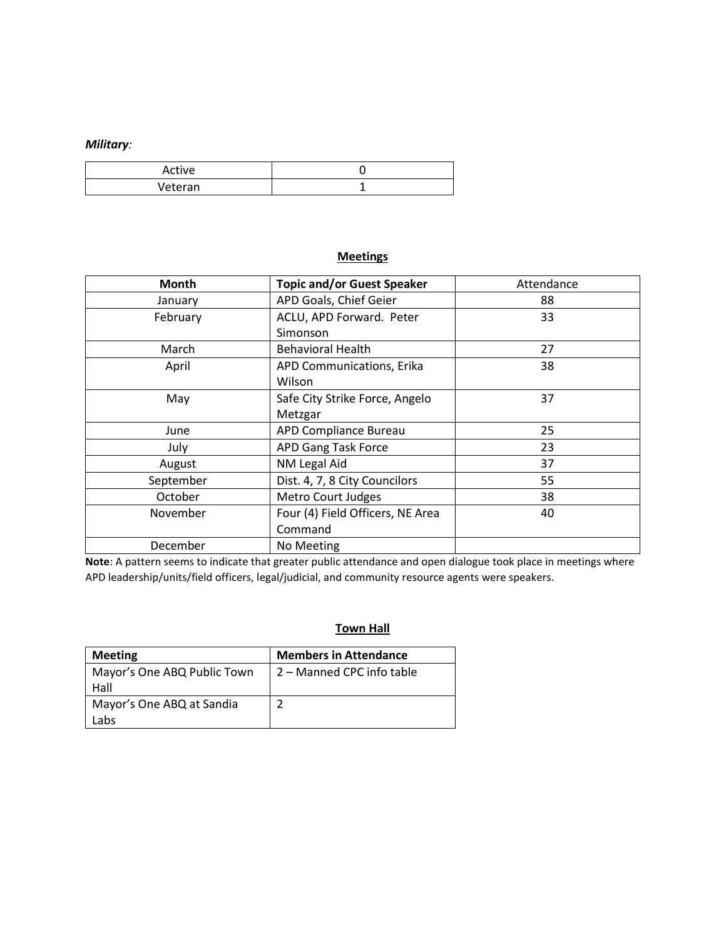## *Military:*

| Active  |  |
|---------|--|
| Veteran |  |

# **Meetings**

| <b>Month</b> | <b>Topic and/or Guest Speaker</b><br>Attendance |    |
|--------------|-------------------------------------------------|----|
| January      | APD Goals, Chief Geier<br>88                    |    |
| February     | ACLU, APD Forward. Peter                        | 33 |
|              | Simonson                                        |    |
| March        | <b>Behavioral Health</b>                        | 27 |
| April        | APD Communications, Erika                       | 38 |
|              | Wilson                                          |    |
| May          | Safe City Strike Force, Angelo                  | 37 |
|              | Metzgar                                         |    |
| June         | APD Compliance Bureau                           | 25 |
| July         | APD Gang Task Force                             | 23 |
| August       | NM Legal Aid                                    | 37 |
| September    | Dist. 4, 7, 8 City Councilors                   | 55 |
| October      | <b>Metro Court Judges</b>                       | 38 |
| November     | Four (4) Field Officers, NE Area                | 40 |
|              | Command                                         |    |
| December     | No Meeting                                      |    |

**Note**: A pattern seems to indicate that greater public attendance and open dialogue took place in meetings where APD leadership/units/field officers, legal/judicial, and community resource agents were speakers.

# **Town Hall**

| <b>Meeting</b>                      | <b>Members in Attendance</b> |
|-------------------------------------|------------------------------|
| Mayor's One ABQ Public Town<br>Hall | 2 – Manned CPC info table    |
| Mayor's One ABQ at Sandia<br>Labs   |                              |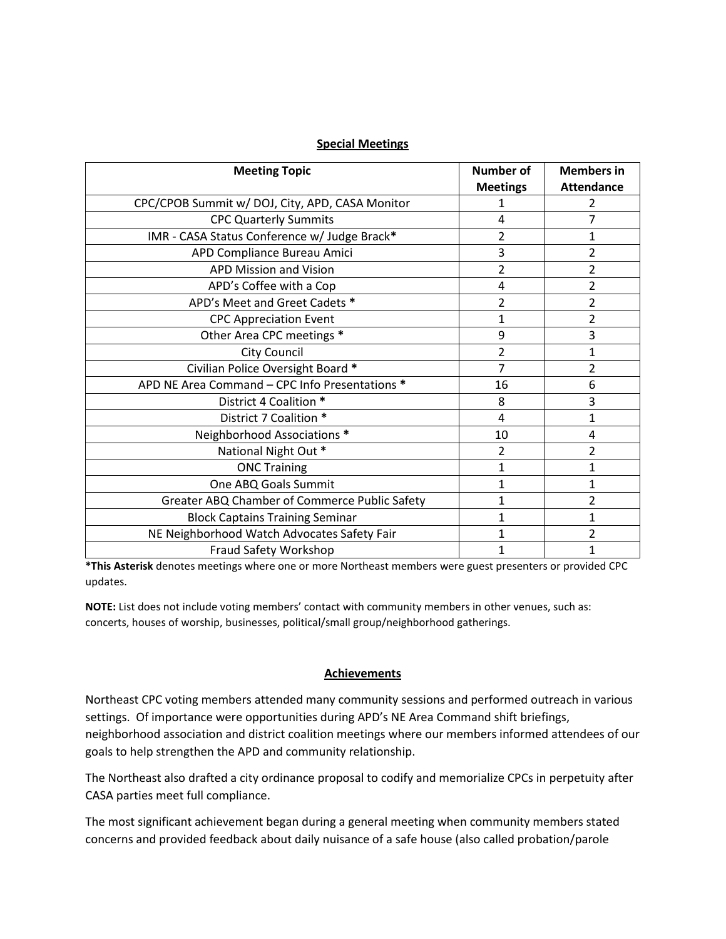### **Special Meetings**

| <b>Meeting Topic</b>                            | <b>Number of</b> | <b>Members in</b> |
|-------------------------------------------------|------------------|-------------------|
|                                                 | <b>Meetings</b>  | <b>Attendance</b> |
| CPC/CPOB Summit w/ DOJ, City, APD, CASA Monitor | 1                | 2                 |
| <b>CPC Quarterly Summits</b>                    | 4                | 7                 |
| IMR - CASA Status Conference w/ Judge Brack*    | 2                | 1                 |
| APD Compliance Bureau Amici                     | 3                | 2                 |
| <b>APD Mission and Vision</b>                   | $\overline{2}$   | 2                 |
| APD's Coffee with a Cop                         | 4                | 2                 |
| APD's Meet and Greet Cadets *                   | $\overline{2}$   | $\overline{2}$    |
| <b>CPC Appreciation Event</b>                   | 1                | 2                 |
| Other Area CPC meetings *                       | 9                | 3                 |
| <b>City Council</b>                             | $\overline{2}$   | 1                 |
| Civilian Police Oversight Board *               | 7                | 2                 |
| APD NE Area Command - CPC Info Presentations *  | 16               | 6                 |
| District 4 Coalition *                          | 8                | 3                 |
| District 7 Coalition *                          | 4                | 1                 |
| Neighborhood Associations *                     | 10               | 4                 |
| National Night Out *                            | 2                | 2                 |
| <b>ONC Training</b>                             | $\mathbf 1$      | 1                 |
| One ABQ Goals Summit                            | 1                | 1                 |
| Greater ABQ Chamber of Commerce Public Safety   | $\mathbf{1}$     | 2                 |
| <b>Block Captains Training Seminar</b>          | 1                | 1                 |
| NE Neighborhood Watch Advocates Safety Fair     | $\mathbf{1}$     | 2                 |
| Fraud Safety Workshop                           | 1                | 1                 |

**\*This Asterisk** denotes meetings where one or more Northeast members were guest presenters or provided CPC updates.

**NOTE:** List does not include voting members' contact with community members in other venues, such as: concerts, houses of worship, businesses, political/small group/neighborhood gatherings.

### **Achievements**

Northeast CPC voting members attended many community sessions and performed outreach in various settings. Of importance were opportunities during APD's NE Area Command shift briefings, neighborhood association and district coalition meetings where our members informed attendees of our goals to help strengthen the APD and community relationship.

The Northeast also drafted a city ordinance proposal to codify and memorialize CPCs in perpetuity after CASA parties meet full compliance.

The most significant achievement began during a general meeting when community members stated concerns and provided feedback about daily nuisance of a safe house (also called probation/parole